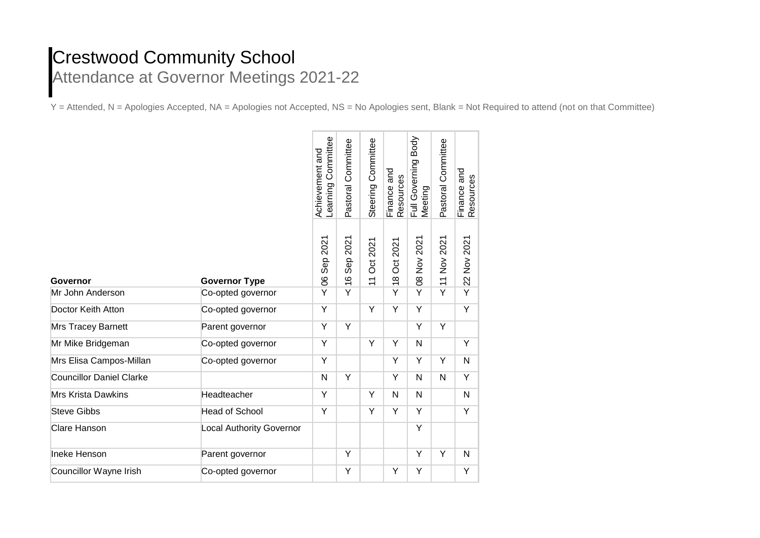## **Crestwood Community School** Attendance at Governor Meetings 2021-22

Y = Attended, N = Apologies Accepted, NA = Apologies not Accepted, NS = No Apologies sent, Blank = Not Required to attend (not on that Committee)

|                                 |                                 | Achievement and<br>Learning Committee | Pastoral Committee        | Steering Committee         | Finance and<br>Resources   | Full Governing Body<br>Meeting | Pastoral Committee | Finance and<br>Resources |
|---------------------------------|---------------------------------|---------------------------------------|---------------------------|----------------------------|----------------------------|--------------------------------|--------------------|--------------------------|
| <b>Governor</b>                 | <b>Governor Type</b>            | Sep 2021<br>$\overline{0}$            | Sep 2021<br>$\frac{6}{1}$ | Oct 2021<br>$\overline{1}$ | Oct 2021<br>$\frac{8}{18}$ | 08 Nov 2021                    | 11 Nov 2021        | 22 Nov 2021              |
| Mr John Anderson                | Co-opted governor               | Y                                     | Y                         |                            | Y                          | Y                              | Y                  | Y                        |
| Doctor Keith Atton              | Co-opted governor               | Υ                                     |                           | Υ                          | Υ                          | Υ                              |                    | Υ                        |
| Mrs Tracey Barnett              | Parent governor                 | Y                                     | Y                         |                            |                            | Υ                              | Y                  |                          |
| Mr Mike Bridgeman               | Co-opted governor               | Υ                                     |                           | Υ                          | Υ                          | N                              |                    | Υ                        |
| Mrs Elisa Campos-Millan         | Co-opted governor               | Υ                                     |                           |                            | Y                          | Ÿ                              | Y                  | $\mathsf{N}$             |
| <b>Councillor Daniel Clarke</b> |                                 | N                                     | Υ                         |                            | Υ                          | N                              | N                  | Υ                        |
| <b>Mrs Krista Dawkins</b>       | Headteacher                     | Y                                     |                           | Y                          | $\mathsf{N}$               | N                              |                    | N                        |
| <b>Steve Gibbs</b>              | <b>Head of School</b>           | Y                                     |                           | Y                          | Y                          | Υ                              |                    | Υ                        |
| Clare Hanson                    | <b>Local Authority Governor</b> |                                       |                           |                            |                            | Ÿ                              |                    |                          |
| Ineke Henson                    | Parent governor                 |                                       | Y                         |                            |                            | Υ                              | Y                  | $\mathsf{N}$             |
| <b>Councillor Wayne Irish</b>   | Co-opted governor               |                                       | Υ                         |                            | $\overline{Y}$             | Y                              |                    | Υ                        |